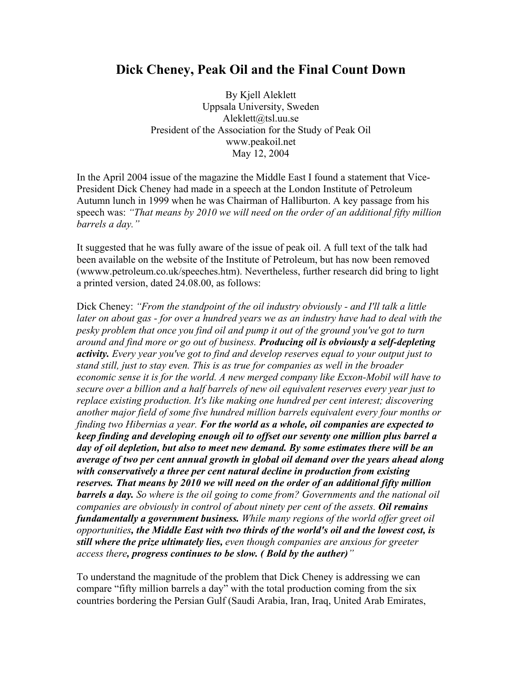# **Dick Cheney, Peak Oil and the Final Count Down**

By Kjell Aleklett Uppsala University, Sweden Aleklett@tsl.uu.se President of the Association for the Study of Peak Oil www.peakoil.net May 12, 2004

In the April 2004 issue of the magazine the Middle East I found a statement that Vice-President Dick Cheney had made in a speech at the London Institute of Petroleum Autumn lunch in 1999 when he was Chairman of Halliburton. A key passage from his speech was: *"That means by 2010 we will need on the order of an additional fifty million barrels a day."*

It suggested that he was fully aware of the issue of peak oil. A full text of the talk had been available on the website of the Institute of Petroleum, but has now been removed (wwww.petroleum.co.uk/speeches.htm). Nevertheless, further research did bring to light a printed version, dated 24.08.00, as follows:

Dick Cheney: *"From the standpoint of the oil industry obviously - and I'll talk a little*  later on about gas - for over a hundred years we as an industry have had to deal with the *pesky problem that once you find oil and pump it out of the ground you've got to turn around and find more or go out of business. Producing oil is obviously a self-depleting activity. Every year you've got to find and develop reserves equal to your output just to stand still, just to stay even. This is as true for companies as well in the broader economic sense it is for the world. A new merged company like Exxon-Mobil will have to secure over a billion and a half barrels of new oil equivalent reserves every year just to replace existing production. It's like making one hundred per cent interest; discovering another major field of some five hundred million barrels equivalent every four months or finding two Hibernias a year. For the world as a whole, oil companies are expected to keep finding and developing enough oil to offset our seventy one million plus barrel a day of oil depletion, but also to meet new demand. By some estimates there will be an average of two per cent annual growth in global oil demand over the years ahead along with conservatively a three per cent natural decline in production from existing reserves. That means by 2010 we will need on the order of an additional fifty million barrels a day. So where is the oil going to come from? Governments and the national oil companies are obviously in control of about ninety per cent of the assets. Oil remains fundamentally a government business. While many regions of the world offer greet oil opportunities, the Middle East with two thirds of the world's oil and the lowest cost, is still where the prize ultimately lies, even though companies are anxious for greeter access there, progress continues to be slow. ( Bold by the auther)"*

To understand the magnitude of the problem that Dick Cheney is addressing we can compare "fifty million barrels a day" with the total production coming from the six countries bordering the Persian Gulf (Saudi Arabia, Iran, Iraq, United Arab Emirates,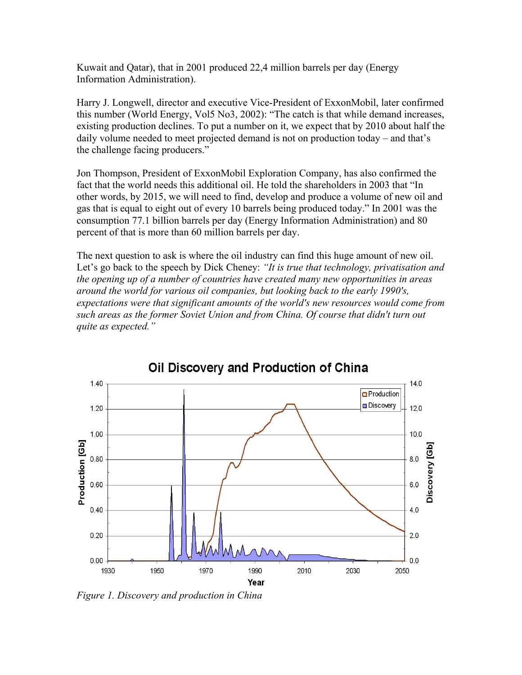Kuwait and Qatar), that in 2001 produced 22,4 million barrels per day (Energy Information Administration).

Harry J. Longwell, director and executive Vice-President of ExxonMobil, later confirmed this number (World Energy, Vol5 No3, 2002): "The catch is that while demand increases, existing production declines. To put a number on it, we expect that by 2010 about half the daily volume needed to meet projected demand is not on production today – and that's the challenge facing producers."

Jon Thompson, President of ExxonMobil Exploration Company, has also confirmed the fact that the world needs this additional oil. He told the shareholders in 2003 that "In other words, by 2015, we will need to find, develop and produce a volume of new oil and gas that is equal to eight out of every 10 barrels being produced today." In 2001 was the consumption 77.1 billion barrels per day (Energy Information Administration) and 80 percent of that is more than 60 million barrels per day.

The next question to ask is where the oil industry can find this huge amount of new oil. Let's go back to the speech by Dick Cheney: *"It is true that technology, privatisation and the opening up of a number of countries have created many new opportunities in areas around the world for various oil companies, but looking back to the early 1990's, expectations were that significant amounts of the world's new resources would come from such areas as the former Soviet Union and from China. Of course that didn't turn out quite as expected."*

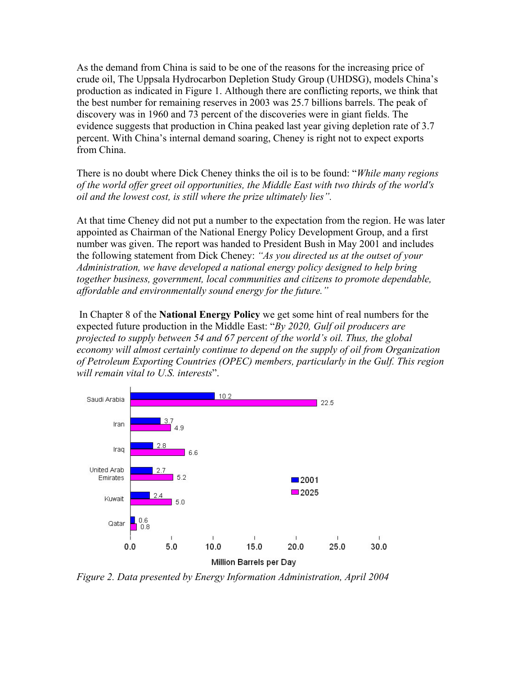As the demand from China is said to be one of the reasons for the increasing price of crude oil, The Uppsala Hydrocarbon Depletion Study Group (UHDSG), models China's production as indicated in Figure 1. Although there are conflicting reports, we think that the best number for remaining reserves in 2003 was 25.7 billions barrels. The peak of discovery was in 1960 and 73 percent of the discoveries were in giant fields. The evidence suggests that production in China peaked last year giving depletion rate of 3.7 percent. With China's internal demand soaring, Cheney is right not to expect exports from China.

There is no doubt where Dick Cheney thinks the oil is to be found: "*While many regions of the world offer greet oil opportunities, the Middle East with two thirds of the world's oil and the lowest cost, is still where the prize ultimately lies".* 

At that time Cheney did not put a number to the expectation from the region. He was later appointed as Chairman of the National Energy Policy Development Group, and a first number was given. The report was handed to President Bush in May 2001 and includes the following statement from Dick Cheney: *"As you directed us at the outset of your Administration, we have developed a national energy policy designed to help bring together business, government, local communities and citizens to promote dependable, affordable and environmentally sound energy for the future."*

 In Chapter 8 of the **National Energy Policy** we get some hint of real numbers for the expected future production in the Middle East: "*By 2020, Gulf oil producers are projected to supply between 54 and 67 percent of the world's oil. Thus, the global economy will almost certainly continue to depend on the supply of oil from Organization of Petroleum Exporting Countries (OPEC) members, particularly in the Gulf. This region will remain vital to U.S. interests*".



*Figure 2. Data presented by Energy Information Administration, April 2004*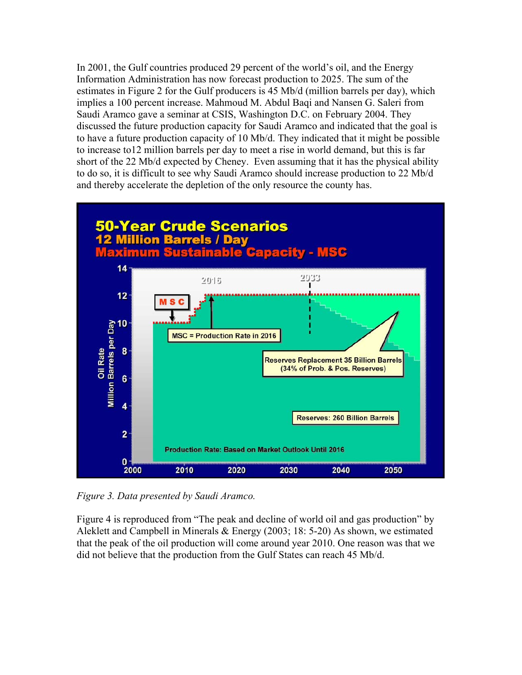In 2001, the Gulf countries produced 29 percent of the world's oil, and the Energy Information Administration has now forecast production to 2025. The sum of the estimates in Figure 2 for the Gulf producers is 45 Mb/d (million barrels per day), which implies a 100 percent increase. Mahmoud M. Abdul Baqi and Nansen G. Saleri from Saudi Aramco gave a seminar at CSIS, Washington D.C. on February 2004. They discussed the future production capacity for Saudi Aramco and indicated that the goal is to have a future production capacity of 10 Mb/d. They indicated that it might be possible to increase to12 million barrels per day to meet a rise in world demand, but this is far short of the 22 Mb/d expected by Cheney. Even assuming that it has the physical ability to do so, it is difficult to see why Saudi Aramco should increase production to 22 Mb/d and thereby accelerate the depletion of the only resource the county has.



*Figure 3. Data presented by Saudi Aramco.* 

Figure 4 is reproduced from "The peak and decline of world oil and gas production" by Aleklett and Campbell in Minerals & Energy (2003; 18: 5-20) As shown, we estimated that the peak of the oil production will come around year 2010. One reason was that we did not believe that the production from the Gulf States can reach 45 Mb/d.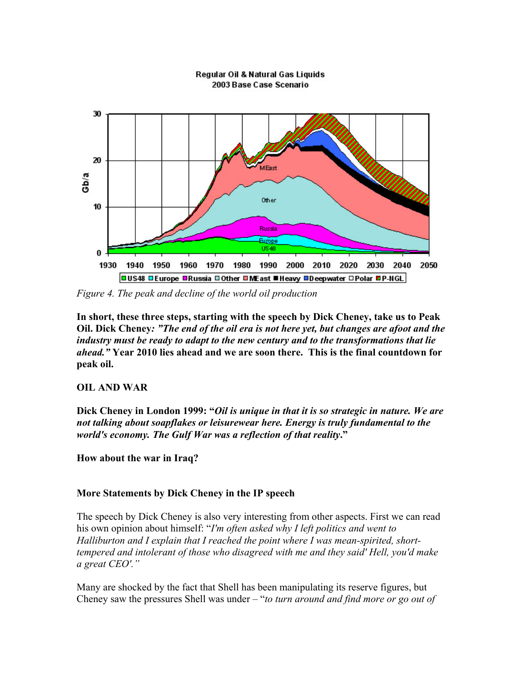#### Regular Oil & Natural Gas Liquids 2003 Base Case Scenario



*Figure 4. The peak and decline of the world oil production* 

**In short, these three steps, starting with the speech by Dick Cheney, take us to Peak Oil. Dick Cheney***: "The end of the oil era is not here yet, but changes are afoot and the industry must be ready to adapt to the new century and to the transformations that lie ahead."* **Year 2010 lies ahead and we are soon there. This is the final countdown for peak oil.** 

## **OIL AND WAR**

**Dick Cheney in London 1999: "***Oil is unique in that it is so strategic in nature. We are not talking about soapflakes or leisurewear here. Energy is truly fundamental to the world's economy. The Gulf War was a reflection of that reality***."** 

**How about the war in Iraq?** 

## **More Statements by Dick Cheney in the IP speech**

The speech by Dick Cheney is also very interesting from other aspects. First we can read his own opinion about himself: "*I'm often asked why I left politics and went to Halliburton and I explain that I reached the point where I was mean-spirited, shorttempered and intolerant of those who disagreed with me and they said' Hell, you'd make a great CEO'."*

Many are shocked by the fact that Shell has been manipulating its reserve figures, but Cheney saw the pressures Shell was under – "*to turn around and find more or go out of*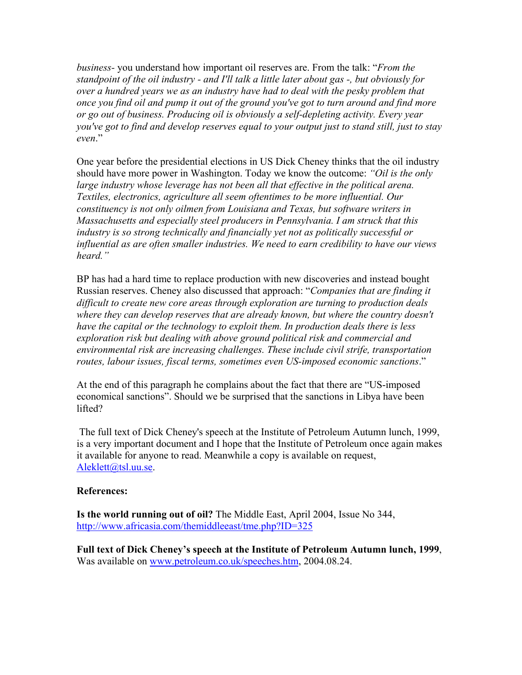*business-* you understand how important oil reserves are. From the talk: "*From the standpoint of the oil industry - and I'll talk a little later about gas -, but obviously for over a hundred years we as an industry have had to deal with the pesky problem that once you find oil and pump it out of the ground you've got to turn around and find more or go out of business. Producing oil is obviously a self-depleting activity. Every year you've got to find and develop reserves equal to your output just to stand still, just to stay even*."

One year before the presidential elections in US Dick Cheney thinks that the oil industry should have more power in Washington. Today we know the outcome: *"Oil is the only*  large industry whose leverage has not been all that effective in the political arena. *Textiles, electronics, agriculture all seem oftentimes to be more influential. Our constituency is not only oilmen from Louisiana and Texas, but software writers in Massachusetts and especially steel producers in Pennsylvania. I am struck that this industry is so strong technically and financially yet not as politically successful or influential as are often smaller industries. We need to earn credibility to have our views heard."* 

BP has had a hard time to replace production with new discoveries and instead bought Russian reserves. Cheney also discussed that approach: "*Companies that are finding it difficult to create new core areas through exploration are turning to production deals where they can develop reserves that are already known, but where the country doesn't have the capital or the technology to exploit them. In production deals there is less exploration risk but dealing with above ground political risk and commercial and environmental risk are increasing challenges. These include civil strife, transportation routes, labour issues, fiscal terms, sometimes even US-imposed economic sanctions*."

At the end of this paragraph he complains about the fact that there are "US-imposed economical sanctions". Should we be surprised that the sanctions in Libya have been lifted?

 The full text of Dick Cheney's speech at the Institute of Petroleum Autumn lunch, 1999, is a very important document and I hope that the Institute of Petroleum once again makes it available for anyone to read. Meanwhile a copy is available on request, [Aleklett@tsl.uu.se](mailto:Aleklett@tsl.uu.se).

#### **References:**

**Is the world running out of oil?** The Middle East, April 2004, Issue No 344, <http://www.africasia.com/themiddleeast/tme.php?ID=325>

**Full text of Dick Cheney's speech at the Institute of Petroleum Autumn lunch, 1999**, Was available on [www.petroleum.co.uk/speeches.htm](http://www.petroleum.co.uk/speeches.htm), 2004.08.24.